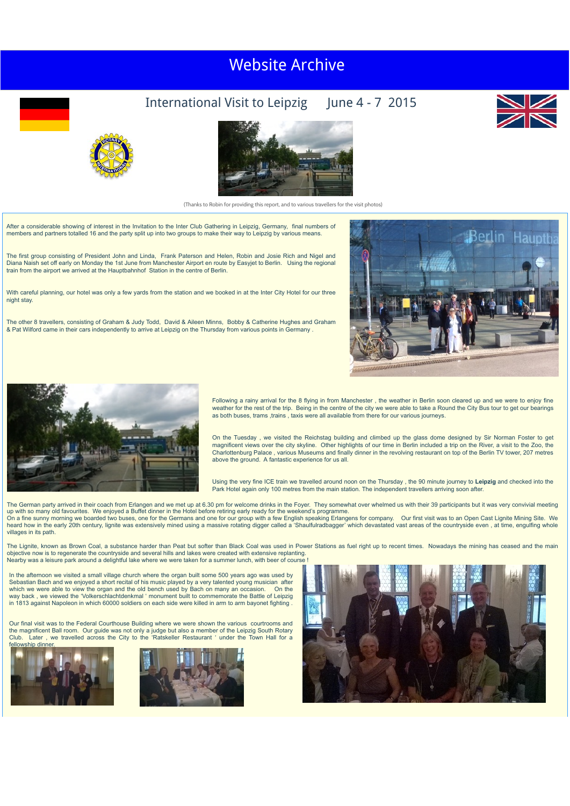## Clubs Visit to Stratford, May 2014 Visit to Clermont-Ferrand May 2016 Visit to York, May [2018](http://newyorkrotary.moonfruit.com/international-visit-may-2018/4594307849?preview=Y) [Website](http://newyorkrotary.moonfruit.com/international-visit-may-2016/4592358869?preview=Y) Ar[chive](http://newyorkrotary.moonfruit.com/international-visit-may-2014/4585230272?preview=Y)

## International Visit to Leipzig June 4 - 7 2015





(Thanks to Robin for providing this report, and to various travellers for the visit photos)

After a considerable showing of interest in the Invitation to the Inter Club Gathering in Leipzig, Germany, final numbers of members and partners totalled 16 and the party split up into two groups to make their way to Leipzig by various means.

The first group consisting of President John and Linda, Frank Paterson and Helen, Robin and Josie Rich and Nigel and Diana Naish set off early on Monday the 1st June from Manchester Airport en route by Easyjet to Berlin. Using the regional train from the airport we arrived at the Hauptbahnhof Station in the centre of Berlin.

With careful planning, our hotel was only a few yards from the station and we booked in at the Inter City Hotel for our three night stay.

The other 8 travellers, consisting of Graham & Judy Todd, David & Aileen Minns, Bobby & Catherine Hughes and Graham & Pat Wilford came in their cars independently to arrive at Leipzig on the Thursday from various points in Germany .





Following a rainy arrival for the 8 flying in from Manchester , the weather in Berlin soon cleared up and we were to enjoy fine weather for the rest of the trip. Being in the centre of the city we were able to take a Round the City Bus tour to get our bearings as both buses, trams ,trains , taxis were all available from there for our various journeys.

On the Tuesday , we visited the Reichstag building and climbed up the glass dome designed by Sir Norman Foster to get magnificent views over the city skyline. Other highlights of our time in Berlin included a trip on the River, a visit to the Zoo, the Charlottenburg Palace , various Museums and finally dinner in the revolving restaurant on top of the Berlin TV tower, 207 metres above the ground. A fantastic experience for us all.

Using the very fine ICE train we travelled around noon on the Thursday , the 90 minute journey to **Leipzig** and checked into the<br>Park Hotel again only 100 metres from the main station. The independent travellers arriving s

The German party arrived in their coach from Erlangen and we met up at 6.30 pm for welcome drinks in the Foyer. They somewhat over whelmed us with their 39 participants but it was very convivial meeting up with so many old favourites. We enjoyed a Buffet dinner in the Hotel before retiring early ready for the weekend's programme.<br>On a fine sunny morning we boarded two buses, one for the Germans and one for our group with heard how in the early 20th century, lignite was extensively mined using a massive rotating digger called a 'Shaulfulradbagger' which devastated vast areas of the countryside even , at time, engulfing whole villages in its path.

The Lignite, known as Brown Coal, a substance harder than Peat but softer than Black Coal was used in Power Stations as fuel right up to recent times. Nowadays the mining has ceased and the main objective now is to regenerate the countryside and several hills and lakes were created with extensive replanting. Nearby was a leisure park around a delightful lake where we were taken for a summer lunch, with beer of course !

In the afternoon we visited a small village church where the organ built some 500 years ago was used by Sebastian Bach and we enjoyed a short recital of his music played by a very talented young musician after <br>which we were able to view the organ and the old bench used by Bach on many an occasion. On the way back , we viewed the 'Volkerschlachtdenkmal ' monument built to commemorate the Battle of Leipzig in 1813 against Napoleon in which 60000 soldiers on each side were killed in arm to arm bayonet fighting .

Our final visit was to the Federal Courthouse Building where we were shown the various courtrooms and the magnificent Ball room. Our guide was not only a judge but also a member of the Leipzig South Rotary<br>Club. Later , we travelled across the City to the 'Ratskeller Restaurant ' under the Town Hall for a